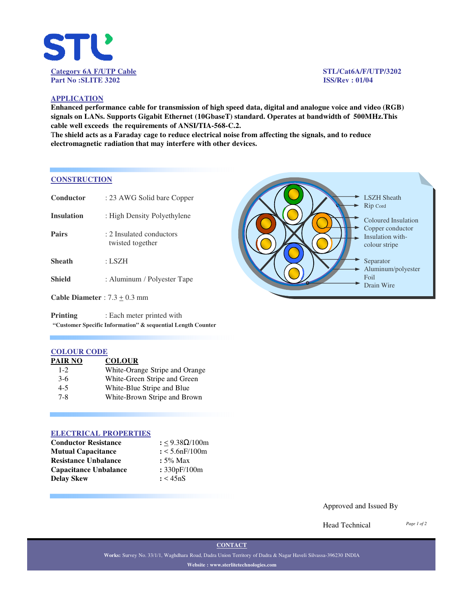

### **APPLICATION**

**Enhanced performance cable for transmission of high speed data, digital and analogue voice and video (RGB) signals on LANs. Supports Gigabit Ethernet (10GbaseT) standard. Operates at bandwidth of 500MHz.This cable well exceeds the requirements of ANSI/TIA-568-C.2.**

T**he shield acts as a Faraday cage to reduce electrical noise from affecting the signals, and to reduce electromagnetic radiation that may interfere with other devices.**

### **CONSTRUCTION**

| Conductor                       | : 23 AWG Solid bare Copper                    |  |
|---------------------------------|-----------------------------------------------|--|
| <b>Insulation</b>               | : High Density Polyethylene                   |  |
| <b>Pairs</b>                    | : 2. Insulated conductors<br>twisted together |  |
| <b>Sheath</b>                   | : LSZH                                        |  |
| <b>Shield</b>                   | : Aluminum / Polyester Tape                   |  |
| Cable Diameter : $7.3 + 0.3$ mm |                                               |  |

**Printing** : Each meter printed with **"Customer Specific Information" & sequential Length Counter**

### **COLOUR CODE**

| PAIR NO | <b>COLOUR</b>                  |
|---------|--------------------------------|
| $1 - 2$ | White-Orange Stripe and Orange |
| $3-6$   | White-Green Stripe and Green   |
| $4 - 5$ | White-Blue Stripe and Blue     |
| $7 - 8$ | White-Brown Stripe and Brown   |

### **ELECTRICAL PROPERTIES**

| <b>Conductor Resistance</b>  | : $< 9.38 \Omega / 100$ m |
|------------------------------|---------------------------|
| <b>Mutual Capacitance</b>    | $: < 5.6$ n $F/100$ m     |
| <b>Resistance Unbalance</b>  | $: 5\%$ Max               |
| <b>Capacitance Unbalance</b> | : 330pF/100m              |
| Delav Skew                   | : < 45nS                  |



### Approved and Issued By

Head Technical

*Page 1 of 2*

**CONTACT**

**Works:** Survey No. 33/1/1, Waghdhara Road, Dadra Union Territory of Dadra & Nagar Haveli Silvassa-396230 INDIA **Website : www.sterlitetechnologies.com**